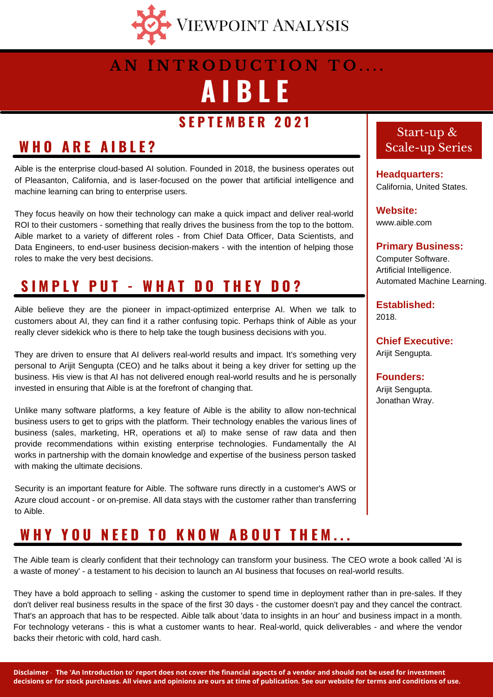

## **A I B L E A N I N T R O D U C T I O N T O . . . .**

### **S E P T E M B E R 2 0 2 1**

## **W H O A R E A I B L E ?**

backs their rhetoric with cold, hard cash.

Aible is the enterprise cloud-based AI solution. Founded in 2018, the business operates out of Pleasanton, California, and is laser-focused on the power that artificial intelligence and machine learning can bring to enterprise users.

They focus heavily on how their technology can make a quick impact and deliver real-world ROI to their customers - something that really drives the business from the top to the bottom. Aible market to a variety of different roles - from Chief Data Officer, Data Scientists, and Data Engineers, to end-user business decision-makers - with the intention of helping those roles to make the very best decisions.

## **S I M P L Y P U T - W H A T D O T H E Y D O ?**

Aible believe they are the pioneer in impact-optimized enterprise AI. When we talk to customers about AI, they can find it a rather confusing topic. Perhaps think of Aible as your really clever sidekick who is there to help take the tough business decisions with you.

They are driven to ensure that AI delivers real-world results and impact. It's something very personal to Arijit Sengupta (CEO) and he talks about it being a key driver for setting up the business. His view is that AI has not delivered enough real-world results and he is personally invested in ensuring that Aible is at the forefront of changing that.

Unlike many software platforms, a key feature of Aible is the ability to allow non-technical business users to get to grips with the platform. Their technology enables the various lines of business (sales, marketing, HR, operations et al) to make sense of raw data and then provide recommendations within existing enterprise technologies. Fundamentally the AI works in partnership with the domain knowledge and expertise of the business person tasked with making the ultimate decisions.

Security is an important feature for Aible. The software runs directly in a customer's AWS or Azure cloud account - or on-premise. All data stays with the customer rather than transferring to Aible.

### WHY YOU NEED TO KNOW ABOUT THEM...

#### Start-up & Scale-up Series

**Headquarters:** California, United States.

**Website:** www.aible.com

**Primary Business:** Computer Software. Artificial Intelligence. Automated Machine Learning.

**Established:** 2018.

**Chief Executive:** Arijit Sengupta.

**Founders:**

Arijit Sengupta. Jonathan Wray.

Disclaimer - The 'An Introduction to' report does not cover the financial aspects of a vendor and should not be used for investment decisions or for stock purchases. All views and opinions are ours at time of publication. See our website for terms and conditions of use.

The Aible team is clearly confident that their technology can transform your business. The CEO wrote a book called 'AI is

They have a bold approach to selling - asking the customer to spend time in deployment rather than in pre-sales. If they don't deliver real business results in the space of the first 30 days - the customer doesn't pay and they cancel the contract. That's an approach that has to be respected. Aible talk about 'data to insights in an hour' and business impact in a month. For technology veterans - this is what a customer wants to hear. Real-world, quick deliverables - and where the vendor

a waste of money' - a testament to his decision to launch an AI business that focuses on real-world results.